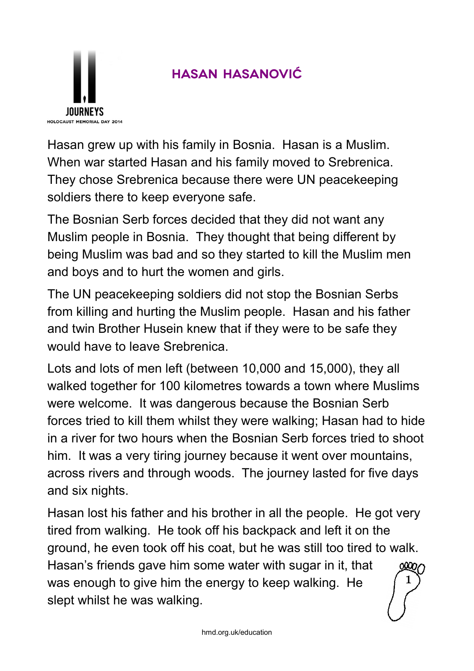

## **Hasan Hasanović**

Hasan grew up with his family in Bosnia. Hasan is a Muslim. When war started Hasan and his family moved to Srebrenica. They chose Srebrenica because there were UN peacekeeping soldiers there to keep everyone safe.

The Bosnian Serb forces decided that they did not want any Muslim people in Bosnia. They thought that being different by being Muslim was bad and so they started to kill the Muslim men and boys and to hurt the women and girls.

The UN peacekeeping soldiers did not stop the Bosnian Serbs from killing and hurting the Muslim people. Hasan and his father and twin Brother Husein knew that if they were to be safe they would have to leave Srebrenica.

Lots and lots of men left (between 10,000 and 15,000), they all walked together for 100 kilometres towards a town where Muslims were welcome. It was dangerous because the Bosnian Serb forces tried to kill them whilst they were walking; Hasan had to hide in a river for two hours when the Bosnian Serb forces tried to shoot him. It was a very tiring journey because it went over mountains, across rivers and through woods. The journey lasted for five days and six nights.

Hasan lost his father and his brother in all the people. He got very tired from walking. He took off his backpack and left it on the ground, he even took off his coat, but he was still too tired to walk. Hasan's friends gave him some water with sugar in it, that was enough to give him the energy to keep walking. He slept whilst he was walking. 1